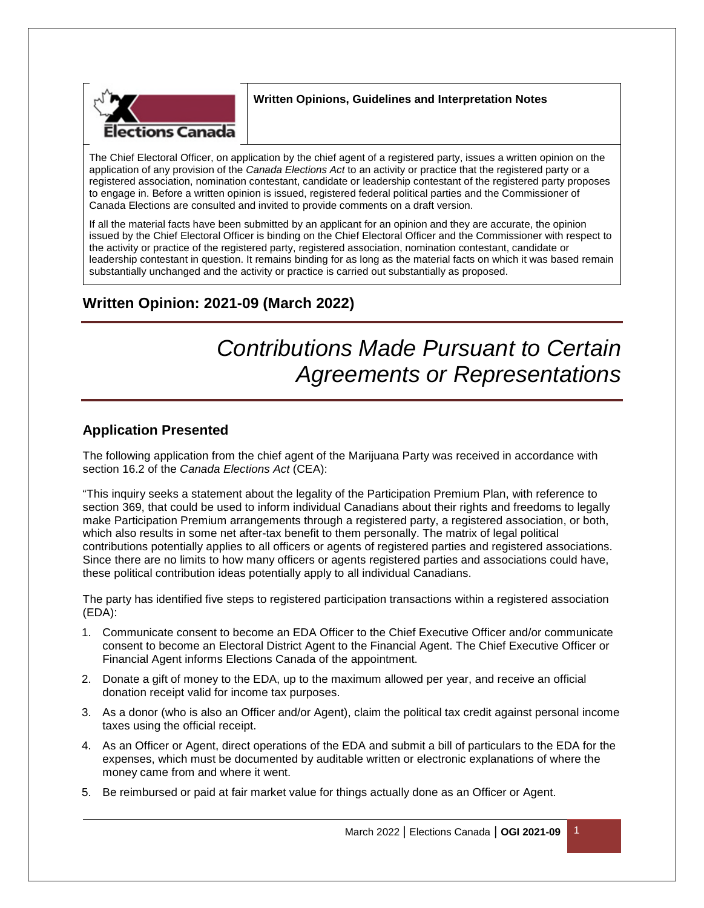

## **Written Opinions, Guidelines and Interpretation Notes**

The Chief Electoral Officer, on application by the chief agent of a registered party, issues a written opinion on the application of any provision of the *Canada Elections Act* to an activity or practice that the registered party or a registered association, nomination contestant, candidate or leadership contestant of the registered party proposes to engage in. Before a written opinion is issued, registered federal political parties and the Commissioner of Canada Elections are consulted and invited to provide comments on a draft version.

If all the material facts have been submitted by an applicant for an opinion and they are accurate, the opinion issued by the Chief Electoral Officer is binding on the Chief Electoral Officer and the Commissioner with respect to the activity or practice of the registered party, registered association, nomination contestant, candidate or leadership contestant in question. It remains binding for as long as the material facts on which it was based remain substantially unchanged and the activity or practice is carried out substantially as proposed.

## **Written Opinion: 2021-09 (March 2022)**

# *Contributions Made Pursuant to Certain Agreements or Representations*

## **Application Presented**

The following application from the chief agent of the Marijuana Party was received in accordance with section 16.2 of the *Canada Elections Act* (CEA):

"This inquiry seeks a statement about the legality of the Participation Premium Plan, with reference to section 369, that could be used to inform individual Canadians about their rights and freedoms to legally make Participation Premium arrangements through a registered party, a registered association, or both, which also results in some net after-tax benefit to them personally. The matrix of legal political contributions potentially applies to all officers or agents of registered parties and registered associations. Since there are no limits to how many officers or agents registered parties and associations could have, these political contribution ideas potentially apply to all individual Canadians.

The party has identified five steps to registered participation transactions within a registered association (EDA):

- 1. Communicate consent to become an EDA Officer to the Chief Executive Officer and/or communicate consent to become an Electoral District Agent to the Financial Agent. The Chief Executive Officer or Financial Agent informs Elections Canada of the appointment.
- 2. Donate a gift of money to the EDA, up to the maximum allowed per year, and receive an official donation receipt valid for income tax purposes.
- 3. As a donor (who is also an Officer and/or Agent), claim the political tax credit against personal income taxes using the official receipt.
- 4. As an Officer or Agent, direct operations of the EDA and submit a bill of particulars to the EDA for the expenses, which must be documented by auditable written or electronic explanations of where the money came from and where it went.
- 5. Be reimbursed or paid at fair market value for things actually done as an Officer or Agent.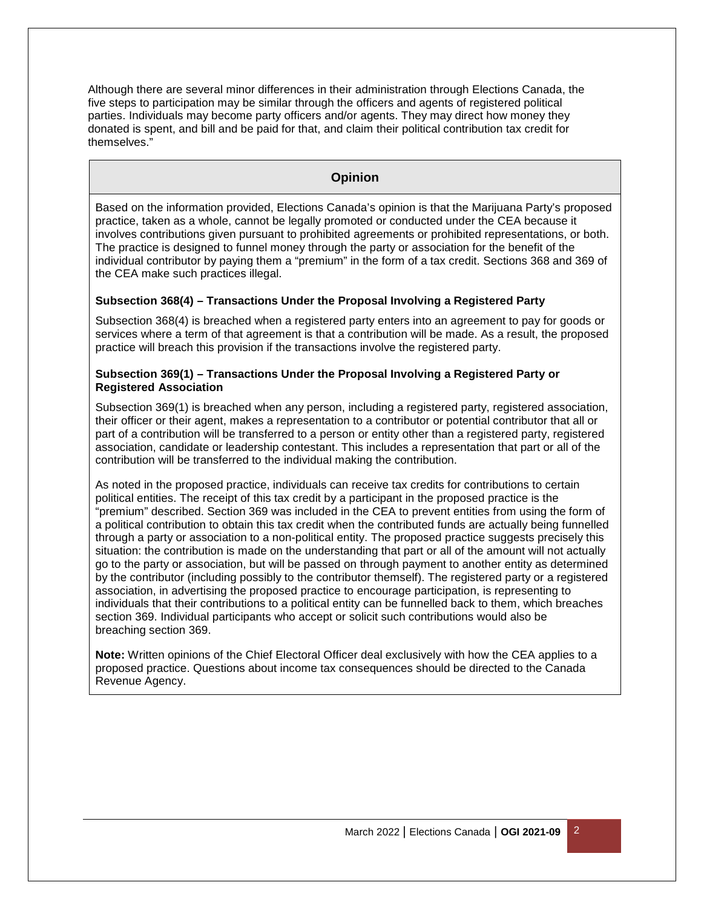Although there are several minor differences in their administration through Elections Canada, the five steps to participation may be similar through the officers and agents of registered political parties. Individuals may become party officers and/or agents. They may direct how money they donated is spent, and bill and be paid for that, and claim their political contribution tax credit for themselves."

## **Opinion**

Based on the information provided, Elections Canada's opinion is that the Marijuana Party's proposed practice, taken as a whole, cannot be legally promoted or conducted under the CEA because it involves contributions given pursuant to prohibited agreements or prohibited representations, or both. The practice is designed to funnel money through the party or association for the benefit of the individual contributor by paying them a "premium" in the form of a tax credit. Sections 368 and 369 of the CEA make such practices illegal.

### **Subsection 368(4) – Transactions Under the Proposal Involving a Registered Party**

Subsection 368(4) is breached when a registered party enters into an agreement to pay for goods or services where a term of that agreement is that a contribution will be made. As a result, the proposed practice will breach this provision if the transactions involve the registered party.

#### **Subsection 369(1) – Transactions Under the Proposal Involving a Registered Party or Registered Association**

Subsection 369(1) is breached when any person, including a registered party, registered association, their officer or their agent, makes a representation to a contributor or potential contributor that all or part of a contribution will be transferred to a person or entity other than a registered party, registered association, candidate or leadership contestant. This includes a representation that part or all of the contribution will be transferred to the individual making the contribution.

As noted in the proposed practice, individuals can receive tax credits for contributions to certain political entities. The receipt of this tax credit by a participant in the proposed practice is the "premium" described. Section 369 was included in the CEA to prevent entities from using the form of a political contribution to obtain this tax credit when the contributed funds are actually being funnelled through a party or association to a non-political entity. The proposed practice suggests precisely this situation: the contribution is made on the understanding that part or all of the amount will not actually go to the party or association, but will be passed on through payment to another entity as determined by the contributor (including possibly to the contributor themself). The registered party or a registered association, in advertising the proposed practice to encourage participation, is representing to individuals that their contributions to a political entity can be funnelled back to them, which breaches section 369. Individual participants who accept or solicit such contributions would also be breaching section 369.

**Note:** Written opinions of the Chief Electoral Officer deal exclusively with how the CEA applies to a proposed practice. Questions about income tax consequences should be directed to the Canada Revenue Agency.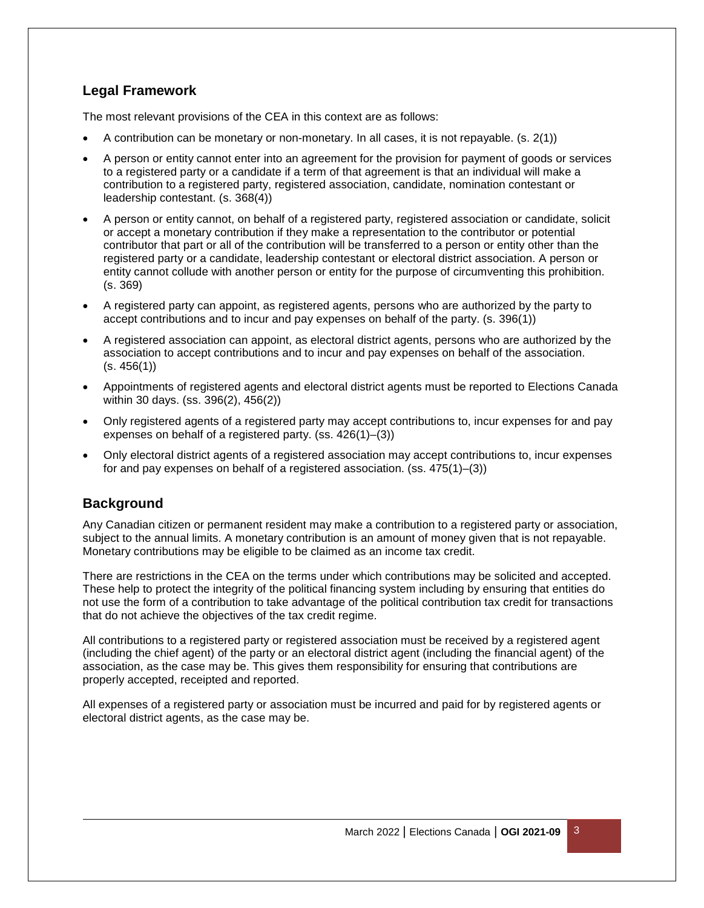## **Legal Framework**

The most relevant provisions of the CEA in this context are as follows:

- A contribution can be monetary or non-monetary. In all cases, it is not repayable. (s. 2(1))
- A person or entity cannot enter into an agreement for the provision for payment of goods or services to a registered party or a candidate if a term of that agreement is that an individual will make a contribution to a registered party, registered association, candidate, nomination contestant or leadership contestant. (s. 368(4))
- A person or entity cannot, on behalf of a registered party, registered association or candidate, solicit or accept a monetary contribution if they make a representation to the contributor or potential contributor that part or all of the contribution will be transferred to a person or entity other than the registered party or a candidate, leadership contestant or electoral district association. A person or entity cannot collude with another person or entity for the purpose of circumventing this prohibition. (s. 369)
- A registered party can appoint, as registered agents, persons who are authorized by the party to accept contributions and to incur and pay expenses on behalf of the party. (s. 396(1))
- A registered association can appoint, as electoral district agents, persons who are authorized by the association to accept contributions and to incur and pay expenses on behalf of the association.  $(s. 456(1))$
- Appointments of registered agents and electoral district agents must be reported to Elections Canada within 30 days. (ss. 396(2), 456(2))
- Only registered agents of a registered party may accept contributions to, incur expenses for and pay expenses on behalf of a registered party. (ss. 426(1)–(3))
- Only electoral district agents of a registered association may accept contributions to, incur expenses for and pay expenses on behalf of a registered association. (ss. 475(1)–(3))

## **Background**

Any Canadian citizen or permanent resident may make a contribution to a registered party or association, subject to the annual limits. A monetary contribution is an amount of money given that is not repayable. Monetary contributions may be eligible to be claimed as an income tax credit.

There are restrictions in the CEA on the terms under which contributions may be solicited and accepted. These help to protect the integrity of the political financing system including by ensuring that entities do not use the form of a contribution to take advantage of the political contribution tax credit for transactions that do not achieve the objectives of the tax credit regime.

All contributions to a registered party or registered association must be received by a registered agent (including the chief agent) of the party or an electoral district agent (including the financial agent) of the association, as the case may be. This gives them responsibility for ensuring that contributions are properly accepted, receipted and reported.

All expenses of a registered party or association must be incurred and paid for by registered agents or electoral district agents, as the case may be.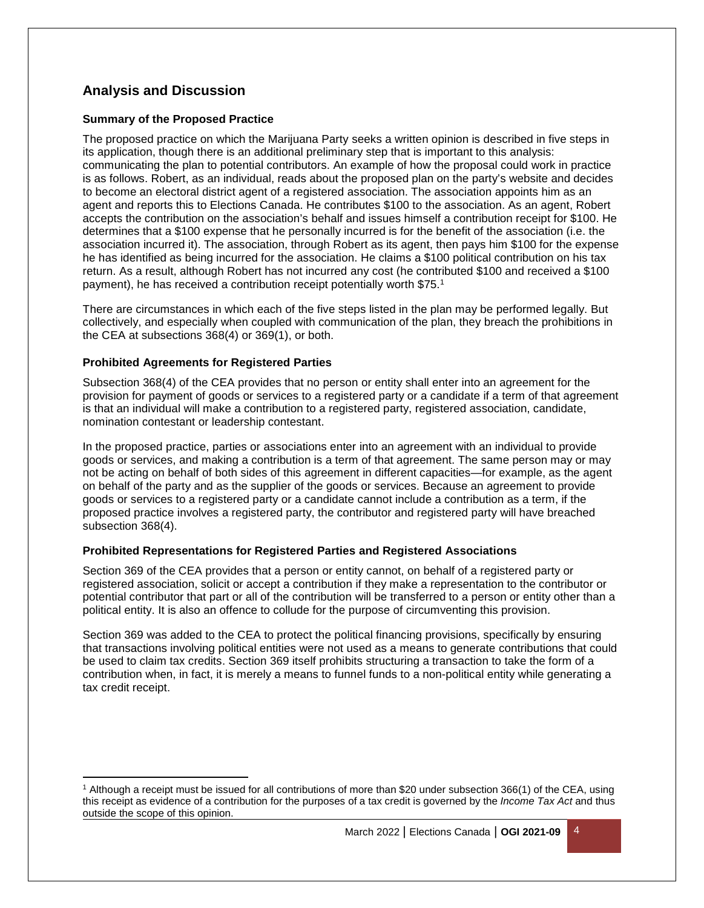## **Analysis and Discussion**

#### **Summary of the Proposed Practice**

The proposed practice on which the Marijuana Party seeks a written opinion is described in five steps in its application, though there is an additional preliminary step that is important to this analysis: communicating the plan to potential contributors. An example of how the proposal could work in practice is as follows. Robert, as an individual, reads about the proposed plan on the party's website and decides to become an electoral district agent of a registered association. The association appoints him as an agent and reports this to Elections Canada. He contributes \$100 to the association. As an agent, Robert accepts the contribution on the association's behalf and issues himself a contribution receipt for \$100. He determines that a \$100 expense that he personally incurred is for the benefit of the association (i.e. the association incurred it). The association, through Robert as its agent, then pays him \$100 for the expense he has identified as being incurred for the association. He claims a \$100 political contribution on his tax return. As a result, although Robert has not incurred any cost (he contributed \$100 and received a \$100 payment), he has received a contribution receipt potentially worth \$75.<sup>1</sup>

There are circumstances in which each of the five steps listed in the plan may be performed legally. But collectively, and especially when coupled with communication of the plan, they breach the prohibitions in the CEA at subsections 368(4) or 369(1), or both.

#### **Prohibited Agreements for Registered Parties**

l

Subsection 368(4) of the CEA provides that no person or entity shall enter into an agreement for the provision for payment of goods or services to a registered party or a candidate if a term of that agreement is that an individual will make a contribution to a registered party, registered association, candidate, nomination contestant or leadership contestant.

In the proposed practice, parties or associations enter into an agreement with an individual to provide goods or services, and making a contribution is a term of that agreement. The same person may or may not be acting on behalf of both sides of this agreement in different capacities—for example, as the agent on behalf of the party and as the supplier of the goods or services. Because an agreement to provide goods or services to a registered party or a candidate cannot include a contribution as a term, if the proposed practice involves a registered party, the contributor and registered party will have breached subsection 368(4).

#### **Prohibited Representations for Registered Parties and Registered Associations**

Section 369 of the CEA provides that a person or entity cannot, on behalf of a registered party or registered association, solicit or accept a contribution if they make a representation to the contributor or potential contributor that part or all of the contribution will be transferred to a person or entity other than a political entity. It is also an offence to collude for the purpose of circumventing this provision.

Section 369 was added to the CEA to protect the political financing provisions, specifically by ensuring that transactions involving political entities were not used as a means to generate contributions that could be used to claim tax credits. Section 369 itself prohibits structuring a transaction to take the form of a contribution when, in fact, it is merely a means to funnel funds to a non-political entity while generating a tax credit receipt.

<sup>1</sup> Although a receipt must be issued for all contributions of more than \$20 under subsection 366(1) of the CEA, using this receipt as evidence of a contribution for the purposes of a tax credit is governed by the *Income Tax Act* and thus outside the scope of this opinion.